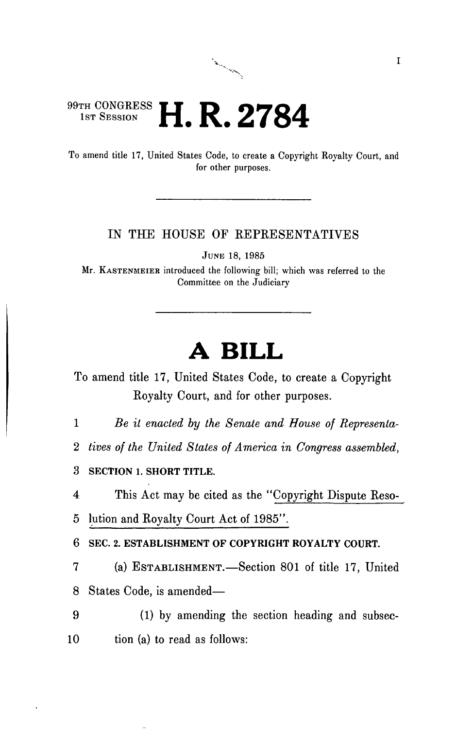# 99th CONGRESS **H. R. 2784**

To amend title 17, United States Code, to create a Copyright Royalty Court, and for other purposes.

مور را به مورد به مورد به مورد برای ایرانی<br>مورد برای مورد برای مورد برای مورد برای مورد برای مورد برای مورد برای مورد برای مورد برای مورد برای مورد برای <br>مورد برای مورد برای مورد برای مورد برای مورد برای مورد برای مورد بر

#### IN THE HOUSE OF REPRESENTATIVES

JUNE 18, 1985

Mr. KASTENMEIEB introduced the following bill; which was referred to the Committee on the Judiciary

## **A BILL**

To amend title 17, United States Code, to create a Copyright Royalty Court, and for other purposes.

1 *Be it enacted by the Senate and House of Representa-*

2 *tives of the United States of America in Congress assembled,* 

**3 SECTION 1. SHORT TITLE.** 

4 This Act may be cited as the "Copyright Dispute Reso-

5 lution and Royalty Court Act of 1985".

6 **SEC. 2. ESTABLISHMENT OF COPYRIGHT ROYALTY COURT.** 

7 (a) ESTABLISHMENT.—Section 801 of title 17, United 8 States Code, is amended—

9 (1) by amending the section heading and subsec-10 tion (a) to read as follows: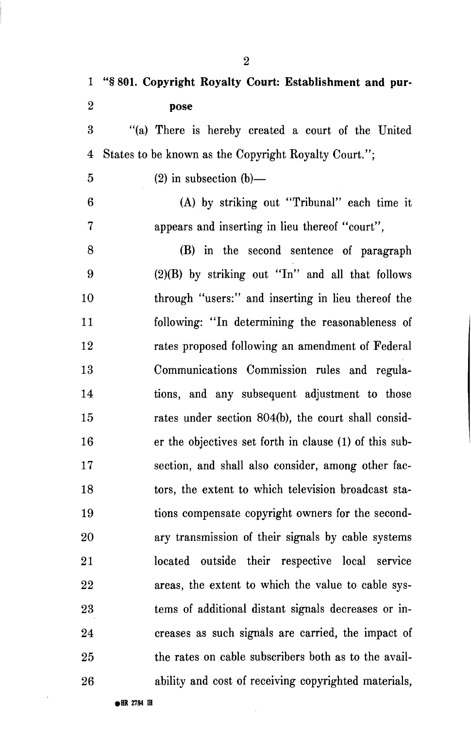**1 "§ 801. Copyright Royalty Court: Establishment and pur-2 pose**  3 "(a) There is hereby created a court of the United 4 States to be known as the Copyright Royalty Court.";  $5$  (2) in subsection (b)— 6 (A) by striking out "Tribunal" each time it 7 appears and inserting in lieu thereof "court", 8 (B) in the second sentence of paragraph 9 (2)(B) by striking out "In" and all that follows 10 through "users:" and inserting in lieu thereof the 11 following: "In determining the reasonableness of 12 rates proposed following an amendment of Federal 13 Communications Commission rules and regula-14 tions, and any subsequent adjustment to those 15 rates under section 804(b), the court shall consid-16 er the objectives set forth in clause (1) of this sub-17 section, and shall also consider, among other fac-18 tors, the extent to which television broadcast sta-19 tions compensate copyright owners for the second-20 ary transmission of their signals by cable systems 21 located outside their respective local service 22 areas, the extent to which the value to cable sys-23 terns of additional distant signals decreases or in-24 creases as such signals are carried, the impact of 25 the rates on cable subscribers both as to the avail-26 ability and cost of receiving copyrighted materials,

**• BR 2784** *m* 

**2**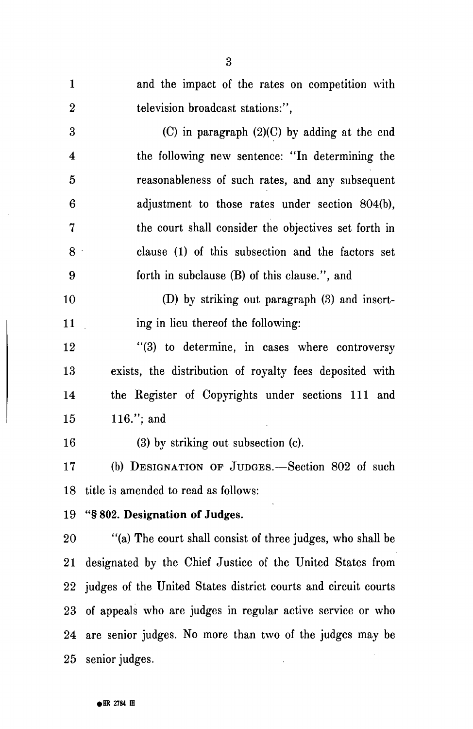1 and the impact of the rates on competition with 2 television broadcast stations:", 3 (C) in paragraph (2)(C) by adding at the end 4 the following new sentence: "In determining the 5 reasonableness of such rates, and any subsequent 6 adjustment to those rates under section 804(b), 7 the court shall consider the objectives set forth in 8 clause (1) of this subsection and the factors set 9 forth in subclause (B) of this clause.", and 10 (D) by striking out paragraph (3) and insert-11 ing in lieu thereof the following: 12 "(3) to determine, in cases where controversy 13 exists, the distribution of royalty fees deposited with 14 the Register of Copyrights under sections 111 and 15 116."; and 16 (3) by striking out subsection (c). 17 (b) DESIGNATION OP JUDGES.—Section 802 of such 18 title is amended to read as follows: 19 "§ 802. Designation of Judges. 20 "(a) The court shall consist of three judges, who shall be 21 designated by the Chief Justice of the United States from 22 judges of the United States district courts and circuit courts 23 of appeals who are judges in regular active service or who 24 are senior judges. No more than two of the judges may be 25 senior judges.

3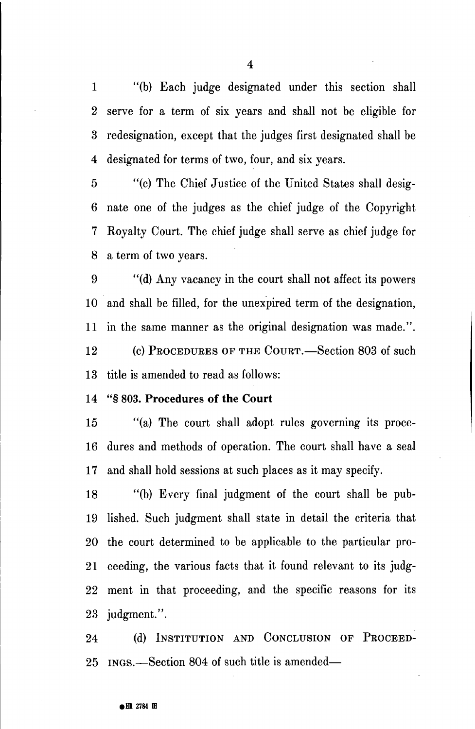1 "(b) Each judge designated under this section shall 2 serve for a term of six years and shall not be eligible for 3 redesignation, except that the judges first designated shall be 4 designated for terms of two, four, and six years.

5 "(c) The Chief Justice of the United States shall desig-6 nate one of the judges as the chief judge of the Copyright 7 Royalty Court. The chief judge shall serve as chief judge for 8 a term of two years.

9 "(d) Any vacancy in the court shall not affect its powers 10 and shall be filled, for the unexpired term of the designation, 11 in the same manner as the original designation was made.". 12 (c) PROCEDURES OF THE COURT.—Section 803 of such 13 title is amended to read as follows:

#### 14 "§ 803. Procedures of the Court

15 "(a) The court shall adopt rules governing its proce-16 dures and methods of operation. The court shall have a seal 17 and shall hold sessions at such places as it may specify.

18 "(b) Every final judgment of the court shall be pub-19 lished. Such judgment shall state in detail the criteria that 20 the court determined to be applicable to the particular pro-21 ceeding, the various facts that it found relevant to its judg-22 ment in that proceeding, and the specific reasons for its 23 judgment.".

24 (d) INSTITUTION AND CONCLUSION OF PROCEED-25 INGS.—Section 804 of such title is amended—

4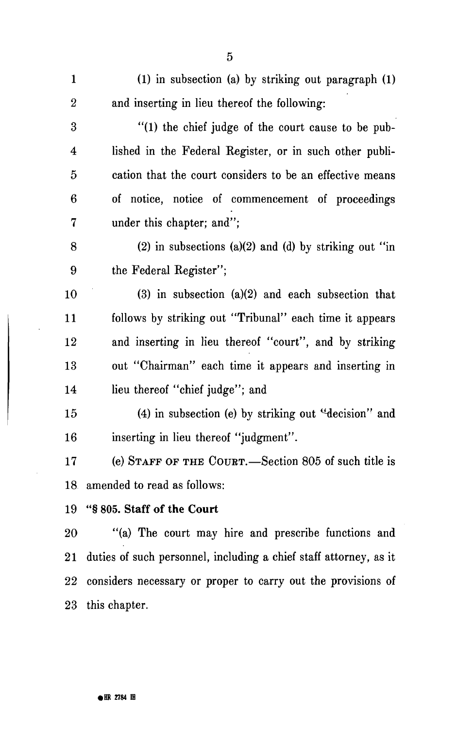| $\mathbf{1}$            | (1) in subsection (a) by striking out paragraph (1)               |
|-------------------------|-------------------------------------------------------------------|
| $\boldsymbol{2}$        | and inserting in lieu thereof the following:                      |
| 3                       | "(1) the chief judge of the court cause to be pub-                |
| $\overline{\mathbf{4}}$ | lished in the Federal Register, or in such other publi-           |
| 5                       | cation that the court considers to be an effective means          |
| $6\phantom{1}6$         | of notice, notice of commencement of proceedings                  |
| $\bf{7}$                | under this chapter; and";                                         |
| 8                       | (2) in subsections (a)(2) and (d) by striking out "in             |
| 9                       | the Federal Register";                                            |
| 10                      | $(3)$ in subsection $(a)(2)$ and each subsection that             |
| 11                      | follows by striking out "Tribunal" each time it appears           |
| 12                      | and inserting in lieu thereof "court", and by striking            |
| 13                      | out "Chairman" each time it appears and inserting in              |
| 14                      | lieu thereof "chief judge"; and                                   |
| 15                      | $(4)$ in subsection (e) by striking out "decision" and            |
| 16                      | inserting in lieu thereof "judgment".                             |
| 17                      | (e) STAFF OF THE COURT.—Section 805 of such title is              |
|                         | 18 amended to read as follows:                                    |
|                         | 19 "§805. Staff of the Court                                      |
| 20                      | "(a) The court may hire and prescribe functions and               |
| $\overline{21}$         | duties of such personnel, including a chief staff attorney, as it |
| $22\,$                  | considers necessary or proper to carry out the provisions of      |
| $23\,$                  | this chapter.                                                     |

5

 $\ddot{\phantom{0}}$ 

 $\hat{\boldsymbol{\gamma}}$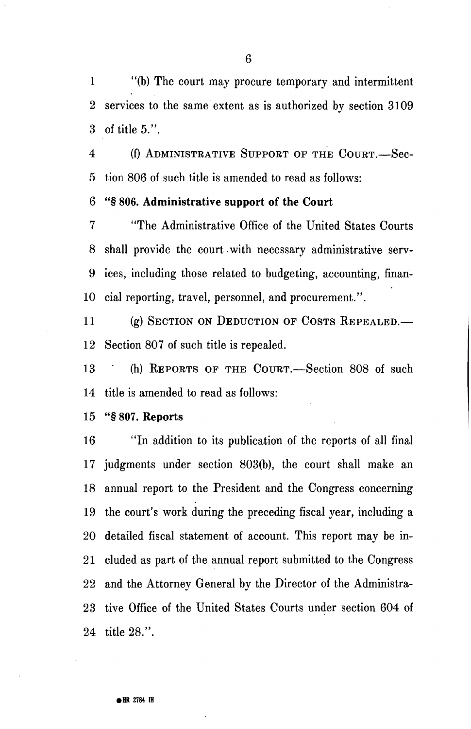1 "(b) The court may procure temporary and intermittent 2 services to the same extent as is authorized by section 3109 3 of title 5.".

4 (f) ADMINISTRATIVE SUPPORT OF THE COURT.—Sec-5 tion 806 of such title is amended to read as follows:

### 6 "§ 806. Administrative support of the Court

7 "The Administrative Office of the United States Courts 8 shall provide the court with necessary administrative serv-9 ices, including those related to budgeting, accounting, finan-10 cial reporting, travel, personnel, and procurement.".

11 (g) SECTION ON DEDUCTION OF COSTS REPEALED.— 12 Section 807 of such title is repealed.

13 (h) REPORTS OF THE COURT. Section 808 of such 14 title is amended to read as follows:

15 "§ 807. Reports

16 "In addition to its publication of the reports of all final 17 judgments under section 803(b), the court shall make an 18 annual report to the President and the Congress concerning 19 the court's work during the preceding fiscal year, including a 20 detailed fiscal statement of account. This report may be in-21 eluded as part of the annual report submitted to the Congress 22 and the Attorney General by the Director of the Administra-23 tive Office of the United States Courts under section 604 of 24 title 28.".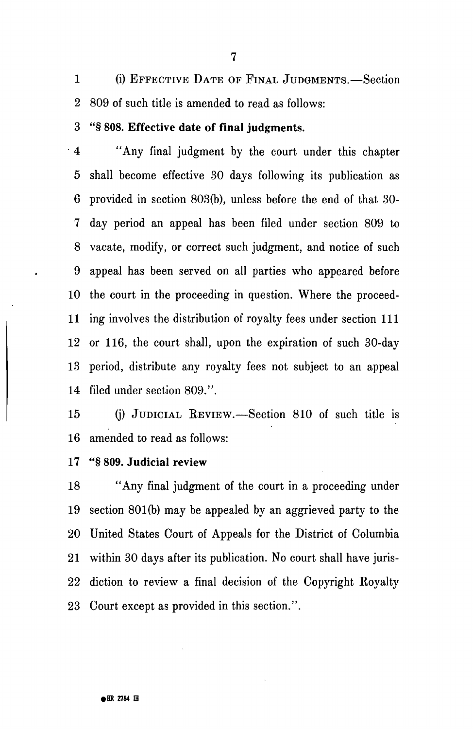1 (i) EFFECTIVE DATE OF FINAL JUDGMENTS.—Section 2 809 of such title is amended to read as follows:

3 "§ 808. Effective date of final judgments.

" 4 "Any final judgment by the court under this chapter 5 shall become effective 30 days following its publication as 6 provided in section 803(b), unless before the end of that 30- 7 day period an appeal has been filed under section 809 to 8 vacate, modify, or correct such judgment, and notice of such 9 appeal has been served on all parties who appeared before 10 the court in the proceeding in question. Where the proceed-11 ing involves the distribution of royalty fees under section 111 12 or 116, the court shall, upon the expiration of such 30-day 13 period, distribute any royalty fees not subject to an appeal 14 filed under section 809.".

15 (j) JUDICIAL REVIEW.—Section 810 of such title is 16 amended to read as follows:

17 "§ 809. **Judicial** review

18 "Any final judgment of the court in a proceeding under 19 section 801(b) may be appealed by an aggrieved party to the 20 United States Court of Appeals for the District of Columbia 21 within 30 days after its publication. No court shall have juris-22 diction to review a final decision of the Copyright Royalty 23 Court except as provided in this section.".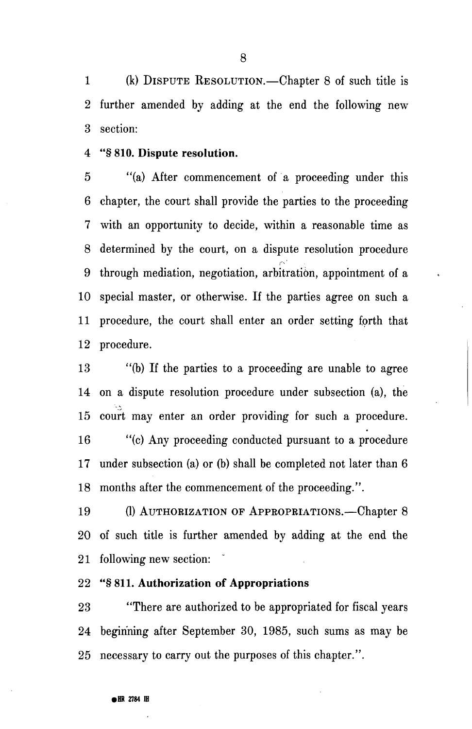1 (k) DISPUTE RESOLUTION.—Chapter 8 of such title is 2 further amended by adding at the end the following new 3 section:

#### 4 "§ 810. Dispute resolution.

5 "(a) After commencement of a proceeding under this 6 chapter, the court shall provide the parties to the proceeding 7 with an opportunity to decide, within a reasonable time as 8 determined by the court, on a dispute resolution procedure *(•-•'*  9 through mediation, negotiation, arbitration, appointment of a 10 special master, or otherwise. If the parties agree on such a 11 procedure, the court shall enter an order setting forth that 12 procedure.

13 "(b) If the parties to a proceeding are unable to agree 14 on a dispute resolution procedure under subsection (a), the 15 court may enter an order providing for such a procedure. 16 "(c) Any proceeding conducted pursuant to a procedure 17 under subsection (a) or (b) shall be completed not later than 6 18 months after the commencement of the proceeding.".

19  $\frac{1}{2}$  (1) authorization of  $\frac{1}{2}$ 20 20 of such title is further amended by adding at the end the 21 following new section:

#### 22 "§811. Authorization of Appropriations

23 "There are authorized to be appropriated for fiscal years 24 beginning after September 30, 1985, such sums as may be 25 necessary to carry out the purposes of this chapter.".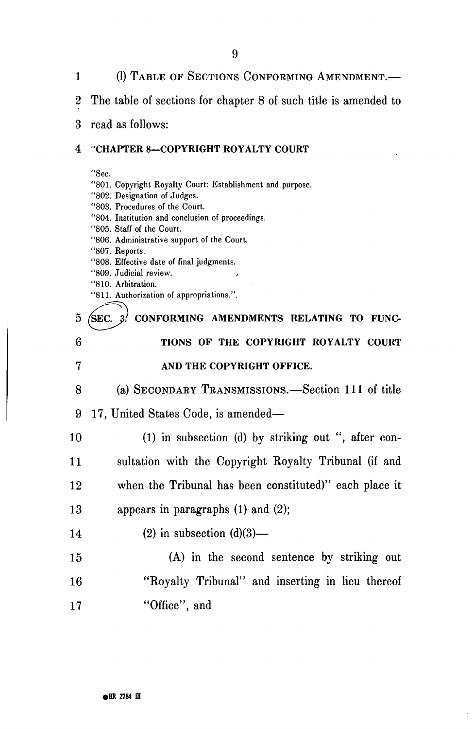1 (1) TABLE OF SECTIONS CONFOEMING AMENDMENT.— 2 The table of sections for chapter 8 of such title is amended to 3 read as follows: **4 "CHAPTER 8—COPYRIGHT ROYALTY COURT**  "Sec. "801. Copyright Royalty Court: Establishment and purpose. "802. Designation of Judges. "803. Procedures of the Court. "804. Institution and conclusion of proceedings. "805. Staff of the Court. "806. Administrative support of the Court. "807. Reports. "808. Effective date of final judgments. "809. Judicial review. "810. Arbitration. "811. Authorization of appropriations.". 5 (SEC. 3<sup>*l*</sup> CONFORMING AMENDMENTS RELATING TO FUNC-**6 TIONS OF THE COPYRIGHT ROYALTY COURT 7 AND THE COPYRIGHT OFFICE.**  8 (a) SECONDAEY TEANSMISSIONS.—Section 111 of title 9 17, United States Code, is amended— 10 (1) in subsection (d) by striking out ", after con-11 sultation with the Copyright Royalty Tribunal (if and 12 when the Tribunal has been constituted)" each place it 13 appears in paragraphs (1) and (2); 14 (2) in subsection  $(d)(3)$ — 15 (A) in the second sentence by striking out 16 "Royalty Tribunal" and inserting in lieu thereof 17 "Office", and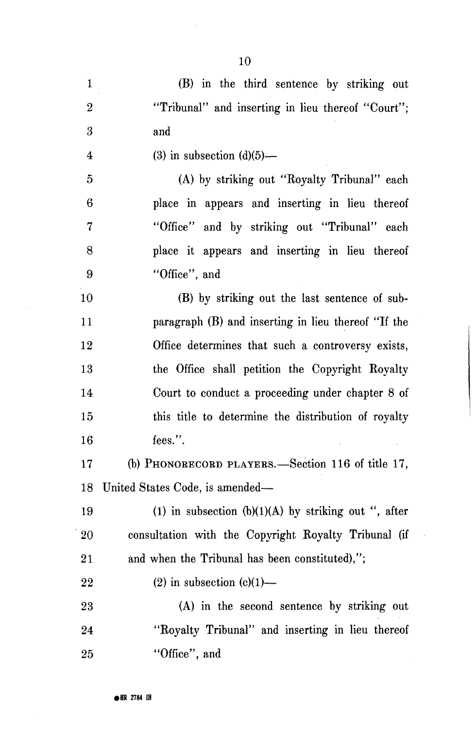| $\mathbf{1}$            | (B) in the third sentence by striking out              |
|-------------------------|--------------------------------------------------------|
| $\boldsymbol{2}$        | "Tribunal" and inserting in lieu thereof "Court";      |
| 3                       | and                                                    |
| $\overline{\mathbf{4}}$ | $(3)$ in subsection $(d)(5)$ —                         |
| 5                       | (A) by striking out "Royalty Tribunal" each            |
| 6                       | place in appears and inserting in lieu thereof         |
| 7                       | "Office" and by striking out "Tribunal" each           |
| 8                       | place it appears and inserting in lieu thereof         |
| 9                       | "Office", and                                          |
| 10                      | (B) by striking out the last sentence of sub-          |
| 11                      | paragraph (B) and inserting in lieu thereof "If the    |
| 12                      | Office determines that such a controversy exists,      |
| 13                      | the Office shall petition the Copyright Royalty        |
| 14                      | Court to conduct a proceeding under chapter 8 of       |
| 15                      | this title to determine the distribution of royalty    |
| 16                      | fees.".                                                |
| 17                      | (b) PHONORECORD PLAYERS.—Section 116 of title 17,      |
|                         | 18 United States Code, is amended-                     |
| 19                      | (1) in subsection $(b)(1)(A)$ by striking out ", after |
| 20                      | consultation with the Copyright Royalty Tribunal (if   |
| 21                      | and when the Tribunal has been constituted),";         |
| 22                      | $(2)$ in subsection $(c)(1)$ —                         |
| 23                      | (A) in the second sentence by striking out             |
| 24                      | "Royalty Tribunal" and inserting in lieu thereof       |
| 25                      | "Office", and                                          |

10

 $\bar{z}$ 

l,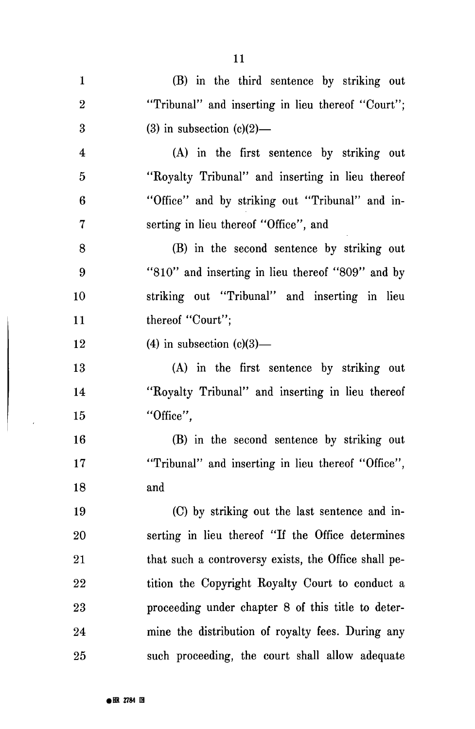| $\mathbf{1}$             | (B) in the third sentence by striking out            |
|--------------------------|------------------------------------------------------|
| $\boldsymbol{2}$         | "Tribunal" and inserting in lieu thereof "Court";    |
| 3                        | $(3)$ in subsection $(c)(2)$ —                       |
| $\boldsymbol{4}$         | (A) in the first sentence by striking out            |
| $\overline{5}$           | "Royalty Tribunal" and inserting in lieu thereof     |
| 6                        | "Office" and by striking out "Tribunal" and in-      |
| $\overline{\mathcal{U}}$ | serting in lieu thereof "Office", and                |
| 8                        | (B) in the second sentence by striking out           |
| 9                        | "810" and inserting in lieu thereof "809" and by     |
| 10                       | striking out "Tribunal" and inserting in lieu        |
| 11                       | thereof "Court";                                     |
| 12                       | $(4)$ in subsection $(c)(3)$ —                       |
| 13                       | (A) in the first sentence by striking out            |
| 14                       | "Royalty Tribunal" and inserting in lieu thereof     |
| 15                       | "Office",                                            |
| 16                       | (B) in the second sentence by striking out           |
| 17                       | "Tribunal" and inserting in lieu thereof "Office",   |
| 18                       | and                                                  |
| 19                       | (C) by striking out the last sentence and in-        |
| 20                       | serting in lieu thereof "If the Office determines    |
| 21                       | that such a controversy exists, the Office shall pe- |
| 22                       | tition the Copyright Royalty Court to conduct a      |
| 23                       | proceeding under chapter 8 of this title to deter-   |
| 24                       | mine the distribution of royalty fees. During any    |
| 25                       | such proceeding, the court shall allow adequate      |

11

 $\overline{\phantom{a}}$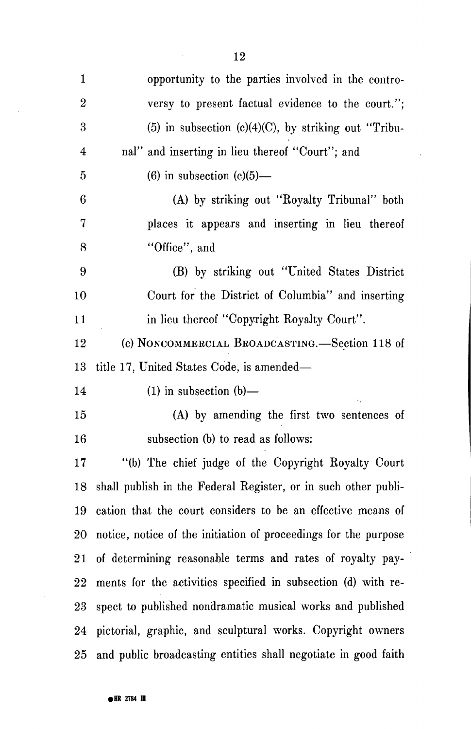| $\mathbf{1}$            | opportunity to the parties involved in the contro-                |
|-------------------------|-------------------------------------------------------------------|
| $\mathbf{2}$            | versy to present factual evidence to the court.";                 |
| 3                       | $(5)$ in subsection $(c)(4)(C)$ , by striking out "Tribu-         |
| $\overline{\mathbf{4}}$ | nal" and inserting in lieu thereof "Court"; and                   |
| $\overline{5}$          | $(6)$ in subsection $(c)(5)$ —                                    |
| $\boldsymbol{6}$        | (A) by striking out "Royalty Tribunal" both                       |
| 7                       | places it appears and inserting in lieu thereof                   |
| 8                       | "Office", and                                                     |
| 9                       | (B) by striking out "United States District                       |
| 10                      | Court for the District of Columbia" and inserting                 |
| 11                      | in lieu thereof "Copyright Royalty Court".                        |
| 12                      | (c) NONCOMMERCIAL BROADCASTING.—Section 118 of                    |
| 13                      | title 17, United States Code, is amended—                         |
| 14                      | $(1)$ in subsection $(b)$ —                                       |
| 15                      | (A) by amending the first two sentences of                        |
| $16\,$                  | subsection (b) to read as follows:                                |
| $17\,$                  | "(b) The chief judge of the Copyright Royalty Court               |
|                         | 18 shall publish in the Federal Register, or in such other publi- |
| 19                      | cation that the court considers to be an effective means of       |
| $20\,$                  | notice, notice of the initiation of proceedings for the purpose   |
|                         | 21 of determining reasonable terms and rates of royalty pay-      |
| $22\,$                  | ments for the activities specified in subsection (d) with re-     |
| $23\,$                  | spect to published nondramatic musical works and published        |
| 24                      | pictorial, graphic, and sculptural works. Copyright owners        |
| $25\,$                  | and public broadcasting entities shall negotiate in good faith    |

 $\ddot{\phantom{a}}$ 

 $\ddot{\phantom{a}}$ 

 $\frac{1}{\sqrt{2}}$ 

 $\mathcal{A}$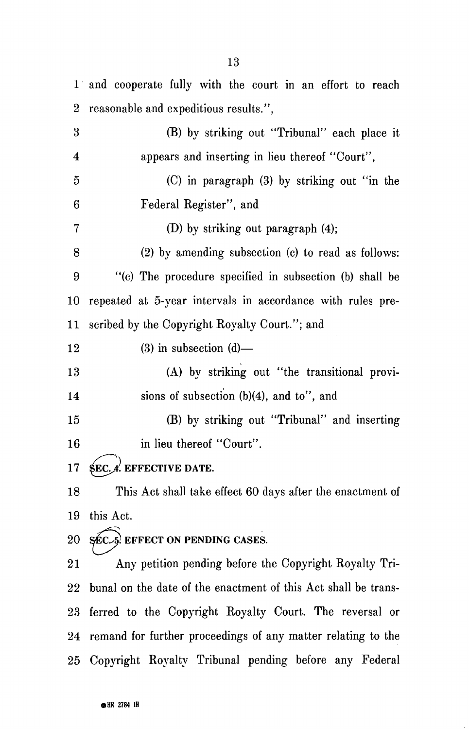1 and cooperate fully with the court in an effort to reach 2 reasonable and expeditious results.", 3 (B) by striking out "Tribunal" each place it 4 appears and inserting in lieu thereof "Court", 5 (C) in paragraph (3) by striking out "in the 6 Federal Register", and 7 (D) by striking out paragraph (4); 8 (2) by amending subsection (c) to read as follows: 9 "(c) The procedure specified in subsection (b) shall be 10 repeated at 5-year intervals in accordance with rules pre-11 scribed by the Copyright Royalty Court."; and  $12$  (3) in subsection (d)— 13 (A) by striking out "the transitional provi-14 sions of subsection (b)(4), and to", and 15 (B) by striking out "Tribunal" and inserting 16 in lieu thereof "Court". 17  $\text{SEC.}$  A. EFFECTIVE DATE. 18 This Act shall take effect 60 days after the enactment of 19 this Act. 20  $SEC.5$  EFFECT ON PENDING CASES. 21 Any petition pending before the Copyright Royalty Tri-22 bunal on the date of the enactment of this Act shall be trans-23 ferred to the Copyright Royalty Court. The reversal or 24 remand for further proceedings of any matter relating to the

25 Copyright Royalty Tribunal pending before any Federal